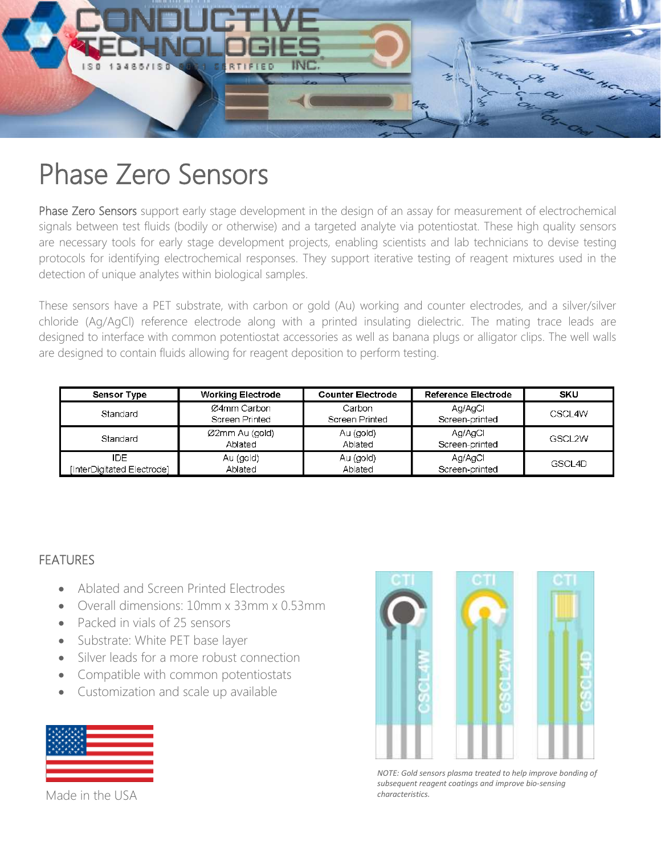

# Phase Zero Sensors

Phase Zero Sensors support early stage development in the design of an assay for measurement of electrochemical signals between test fluids (bodily or otherwise) and a targeted analyte via potentiostat. These high quality sensors are necessary tools for early stage development projects, enabling scientists and lab technicians to devise testing protocols for identifying electrochemical responses. They support iterative testing of reagent mixtures used in the detection of unique analytes within biological samples.

These sensors have a PET substrate, with carbon or gold (Au) working and counter electrodes, and a silver/silver chloride (Ag/AgCl) reference electrode along with a printed insulating dielectric. The mating trace leads are designed to interface with common potentiostat accessories as well as banana plugs or alligator clips. The well walls are designed to contain fluids allowing for reagent deposition to perform testing.

| <b>Sensor Type</b>                | <b>Working Electrode</b>      | <b>Counter Electrode</b> | <b>Reference Electrode</b> | <b>SKU</b> |
|-----------------------------------|-------------------------------|--------------------------|----------------------------|------------|
| Standard                          | Ø4mm Carbon<br>Screen Printed | Carbon<br>Screen Printed | Ag/AgCl<br>Screen-printed  | CSCL4W     |
| Standard                          | Ø2mm Au (gold)<br>Ablated     | Au (gold)<br>Ablated     | Ag/AgCl<br>Screen-printed  | GSCL2W     |
| IDE<br>[InterDigitated Electrode] | Au (gold)<br>Ablated          | Au (gold)<br>Ablated     | Ag/AgCl<br>Screen-printed  | GSCL4D     |

### FEATURES

- Ablated and Screen Printed Electrodes
- Overall dimensions: 10mm x 33mm x 0.53mm
- Packed in vials of 25 sensors
- Substrate: White PET base layer
- Silver leads for a more robust connection
- Compatible with common potentiostats
- Customization and scale up available





*NOTE: Gold sensors plasma treated to help improve bonding of subsequent reagent coatings and improve bio-sensing characteristics.* 

Made in the USA